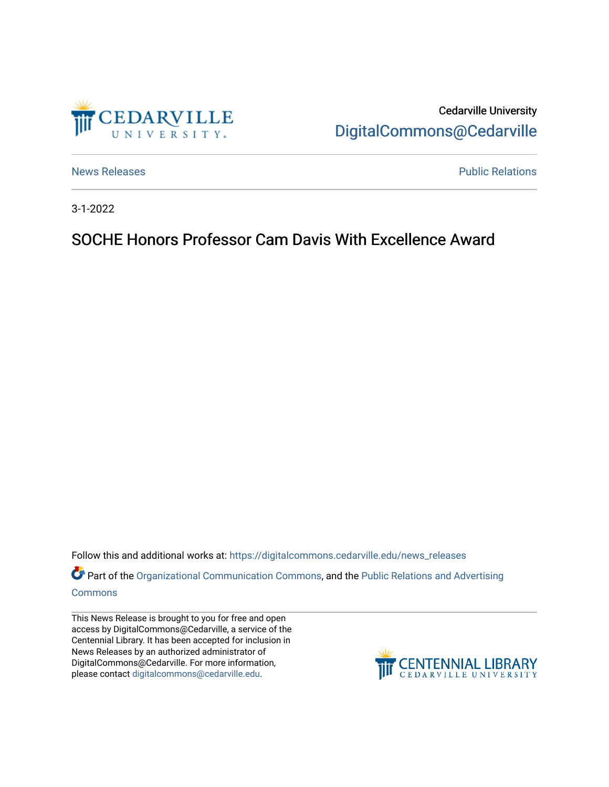

Cedarville University [DigitalCommons@Cedarville](https://digitalcommons.cedarville.edu/) 

[News Releases](https://digitalcommons.cedarville.edu/news_releases) **Public Relations Public Relations** 

3-1-2022

## SOCHE Honors Professor Cam Davis With Excellence Award

Follow this and additional works at: [https://digitalcommons.cedarville.edu/news\\_releases](https://digitalcommons.cedarville.edu/news_releases?utm_source=digitalcommons.cedarville.edu%2Fnews_releases%2F1508&utm_medium=PDF&utm_campaign=PDFCoverPages) 

Part of the [Organizational Communication Commons](http://network.bepress.com/hgg/discipline/335?utm_source=digitalcommons.cedarville.edu%2Fnews_releases%2F1508&utm_medium=PDF&utm_campaign=PDFCoverPages), and the Public Relations and Advertising [Commons](http://network.bepress.com/hgg/discipline/336?utm_source=digitalcommons.cedarville.edu%2Fnews_releases%2F1508&utm_medium=PDF&utm_campaign=PDFCoverPages)

This News Release is brought to you for free and open access by DigitalCommons@Cedarville, a service of the Centennial Library. It has been accepted for inclusion in News Releases by an authorized administrator of DigitalCommons@Cedarville. For more information, please contact [digitalcommons@cedarville.edu](mailto:digitalcommons@cedarville.edu).

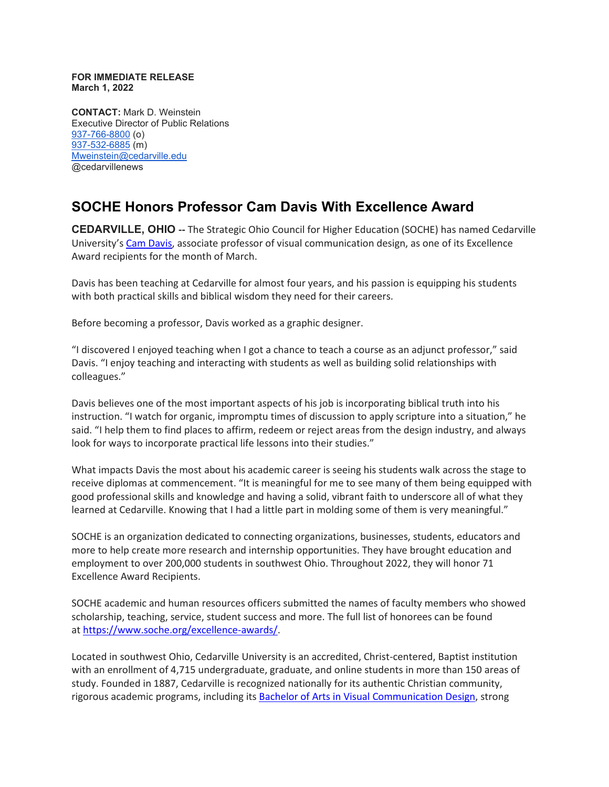## **FOR IMMEDIATE RELEASE March 1, 2022**

**CONTACT:** Mark D. Weinstein Executive Director of Public Relations [937-766-8800](tel:937-766-8800) (o) [937-532-6885](tel:937-532-6885) (m) [Mweinstein@cedarville.edu](mailto:Mweinstein@cedarville.edu) @cedarvillenews

## **SOCHE Honors Professor Cam Davis With Excellence Award**

**CEDARVILLE, OHIO --** The Strategic Ohio Council for Higher Education (SOCHE) has named Cedarville University's [Cam Davis,](https://www.cedarville.edu/academic-schools-and-departments/art-design-theatre/faculty-staff/faculty/davis-cam) associate professor of visual communication design, as one of its Excellence Award recipients for the month of March.

Davis has been teaching at Cedarville for almost four years, and his passion is equipping his students with both practical skills and biblical wisdom they need for their careers.

Before becoming a professor, Davis worked as a graphic designer.

"I discovered I enjoyed teaching when I got a chance to teach a course as an adjunct professor," said Davis. "I enjoy teaching and interacting with students as well as building solid relationships with colleagues."

Davis believes one of the most important aspects of his job is incorporating biblical truth into his instruction. "I watch for organic, impromptu times of discussion to apply scripture into a situation," he said. "I help them to find places to affirm, redeem or reject areas from the design industry, and always look for ways to incorporate practical life lessons into their studies."

What impacts Davis the most about his academic career is seeing his students walk across the stage to receive diplomas at commencement. "It is meaningful for me to see many of them being equipped with good professional skills and knowledge and having a solid, vibrant faith to underscore all of what they learned at Cedarville. Knowing that I had a little part in molding some of them is very meaningful."

SOCHE is an organization dedicated to connecting organizations, businesses, students, educators and more to help create more research and internship opportunities. They have brought education and employment to over 200,000 students in southwest Ohio. Throughout 2022, they will honor 71 Excellence Award Recipients.

SOCHE academic and human resources officers submitted the names of faculty members who showed scholarship, teaching, service, student success and more. The full list of honorees can be found at [https://www.soche.org/excellence-awards/.](https://www.soche.org/excellence-awards/)

Located in southwest Ohio, Cedarville University is an accredited, Christ-centered, Baptist institution with an enrollment of 4,715 undergraduate, graduate, and online students in more than 150 areas of study. Founded in 1887, Cedarville is recognized nationally for its authentic Christian community, rigorous academic programs, including its [Bachelor of Arts in Visual Communication Design,](https://www.cedarville.edu/academic-programs/visual-communication-design-graphics) strong